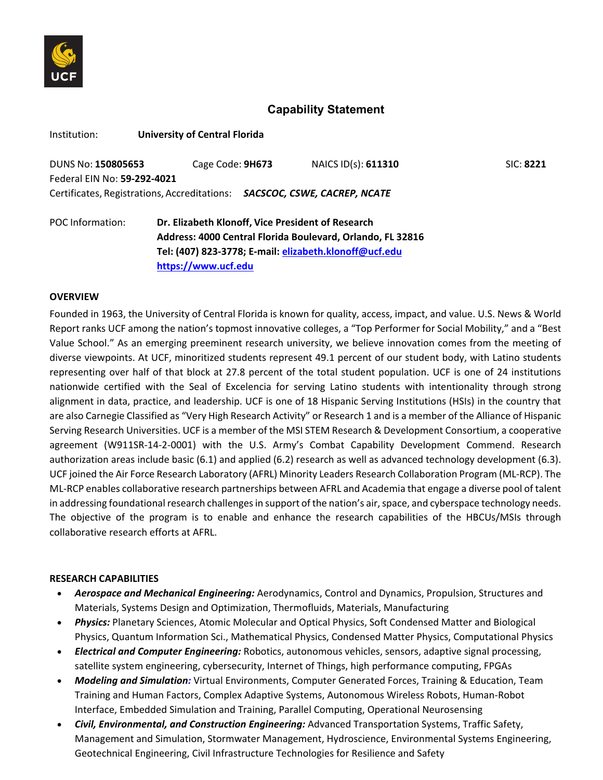

# **Capability Statement**

| Institution:                | <b>University of Central Florida</b>                                      |                     |                  |
|-----------------------------|---------------------------------------------------------------------------|---------------------|------------------|
| DUNS No: 150805653          | Cage Code: 9H673                                                          | NAICS ID(s): 611310 | <b>SIC: 8221</b> |
| Federal EIN No: 59-292-4021 |                                                                           |                     |                  |
|                             | Certificates, Registrations, Accreditations: SACSCOC, CSWE, CACREP, NCATE |                     |                  |
| POC Information:            | Dr. Elizabeth Klonoff, Vice President of Research                         |                     |                  |
|                             | Address: 4000 Central Florida Boulevard, Orlando, FL 32816                |                     |                  |
|                             | Tel: (407) 823-3778; E-mail: elizabeth.klonoff@ucf.edu                    |                     |                  |

**[https://www.ucf.edu](https://www.ucf.edu/)**

#### **OVERVIEW**

Founded in 1963, the University of Central Florida is known for quality, access, impact, and value. U.S. News & World Report ranks UCF among the nation's topmost innovative colleges, a "Top Performer for Social Mobility," and a "Best Value School." As an emerging preeminent research university, we believe innovation comes from the meeting of diverse viewpoints. At UCF, minoritized students represent 49.1 percent of our student body, with Latino students representing over half of that block at 27.8 percent of the total student population. UCF is one of 24 institutions nationwide certified with the Seal of Excelencia for serving Latino students with intentionality through strong alignment in data, practice, and leadership. UCF is one of 18 Hispanic Serving Institutions (HSIs) in the country that are also Carnegie Classified as "Very High Research Activity" or Research 1 and is a member of the Alliance of Hispanic Serving Research Universities. UCF is a member of the MSI STEM Research & Development Consortium, a cooperative agreement (W911SR-14-2-0001) with the U.S. Army's Combat Capability Development Commend. Research authorization areas include basic (6.1) and applied (6.2) research as well as advanced technology development (6.3). UCF joined the Air Force Research Laboratory (AFRL) Minority Leaders Research Collaboration Program (ML-RCP). The ML-RCP enables collaborative research partnerships between AFRL and Academia that engage a diverse pool of talent in addressing foundational research challenges in support of the nation's air, space, and cyberspace technology needs. The objective of the program is to enable and enhance the research capabilities of the HBCUs/MSIs through collaborative research efforts at AFRL.

### **RESEARCH CAPABILITIES**

- *Aerospace and Mechanical Engineering:* Aerodynamics, Control and Dynamics, Propulsion, Structures and Materials, Systems Design and Optimization, Thermofluids, Materials, Manufacturing
- *Physics:* Planetary Sciences, Atomic Molecular and Optical Physics, Soft Condensed Matter and Biological Physics, Quantum Information Sci., Mathematical Physics, Condensed Matter Physics, Computational Physics
- *Electrical and Computer Engineering:* Robotics, autonomous vehicles, sensors, adaptive signal processing, satellite system engineering, cybersecurity, Internet of Things, high performance computing, FPGAs
- *Modeling and Simulation:* Virtual Environments, Computer Generated Forces, Training & Education, Team Training and Human Factors, Complex Adaptive Systems, Autonomous Wireless Robots, Human-Robot Interface, Embedded Simulation and Training, Parallel Computing, Operational Neurosensing
- *Civil, Environmental, and Construction Engineering:* Advanced Transportation Systems, Traffic Safety, Management and Simulation, Stormwater Management, Hydroscience, Environmental Systems Engineering, Geotechnical Engineering, Civil Infrastructure Technologies for Resilience and Safety